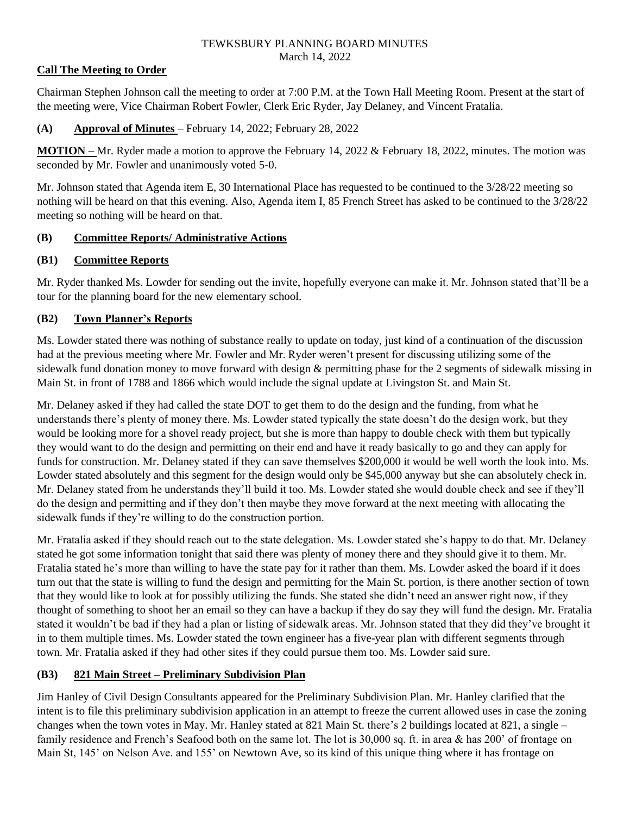## **Call The Meeting to Order**

Chairman Stephen Johnson call the meeting to order at 7:00 P.M. at the Town Hall Meeting Room. Present at the start of the meeting were, Vice Chairman Robert Fowler, Clerk Eric Ryder, Jay Delaney, and Vincent Fratalia.

## **(A) Approval of Minutes** – February 14, 2022; February 28, 2022

**MOTION –** Mr. Ryder made a motion to approve the February 14, 2022 & February 18, 2022, minutes. The motion was seconded by Mr. Fowler and unanimously voted 5-0.

Mr. Johnson stated that Agenda item E, 30 International Place has requested to be continued to the 3/28/22 meeting so nothing will be heard on that this evening. Also, Agenda item I, 85 French Street has asked to be continued to the 3/28/22 meeting so nothing will be heard on that.

## **(B) Committee Reports/ Administrative Actions**

# **(B1) Committee Reports**

Mr. Ryder thanked Ms. Lowder for sending out the invite, hopefully everyone can make it. Mr. Johnson stated that'll be a tour for the planning board for the new elementary school.

# **(B2) Town Planner's Reports**

Ms. Lowder stated there was nothing of substance really to update on today, just kind of a continuation of the discussion had at the previous meeting where Mr. Fowler and Mr. Ryder weren't present for discussing utilizing some of the sidewalk fund donation money to move forward with design & permitting phase for the 2 segments of sidewalk missing in Main St. in front of 1788 and 1866 which would include the signal update at Livingston St. and Main St.

Mr. Delaney asked if they had called the state DOT to get them to do the design and the funding, from what he understands there's plenty of money there. Ms. Lowder stated typically the state doesn't do the design work, but they would be looking more for a shovel ready project, but she is more than happy to double check with them but typically they would want to do the design and permitting on their end and have it ready basically to go and they can apply for funds for construction. Mr. Delaney stated if they can save themselves \$200,000 it would be well worth the look into. Ms. Lowder stated absolutely and this segment for the design would only be \$45,000 anyway but she can absolutely check in. Mr. Delaney stated from he understands they'll build it too. Ms. Lowder stated she would double check and see if they'll do the design and permitting and if they don't then maybe they move forward at the next meeting with allocating the sidewalk funds if they're willing to do the construction portion.

Mr. Fratalia asked if they should reach out to the state delegation. Ms. Lowder stated she's happy to do that. Mr. Delaney stated he got some information tonight that said there was plenty of money there and they should give it to them. Mr. Fratalia stated he's more than willing to have the state pay for it rather than them. Ms. Lowder asked the board if it does turn out that the state is willing to fund the design and permitting for the Main St. portion, is there another section of town that they would like to look at for possibly utilizing the funds. She stated she didn't need an answer right now, if they thought of something to shoot her an email so they can have a backup if they do say they will fund the design. Mr. Fratalia stated it wouldn't be bad if they had a plan or listing of sidewalk areas. Mr. Johnson stated that they did they've brought it in to them multiple times. Ms. Lowder stated the town engineer has a five-year plan with different segments through town. Mr. Fratalia asked if they had other sites if they could pursue them too. Ms. Lowder said sure.

# **(B3) 821 Main Street – Preliminary Subdivision Plan**

Jim Hanley of Civil Design Consultants appeared for the Preliminary Subdivision Plan. Mr. Hanley clarified that the intent is to file this preliminary subdivision application in an attempt to freeze the current allowed uses in case the zoning changes when the town votes in May. Mr. Hanley stated at 821 Main St. there's 2 buildings located at 821, a single – family residence and French's Seafood both on the same lot. The lot is 30,000 sq. ft. in area & has 200' of frontage on Main St, 145' on Nelson Ave. and 155' on Newtown Ave, so its kind of this unique thing where it has frontage on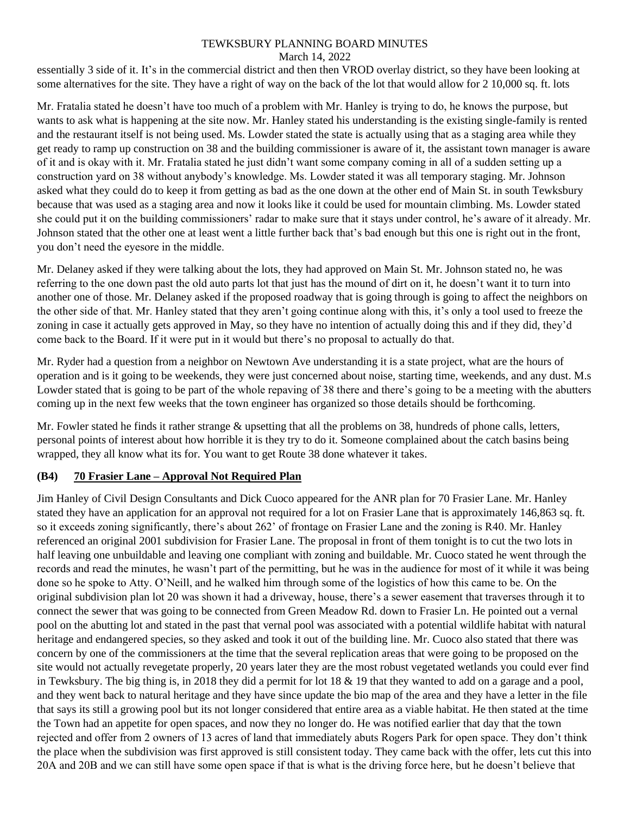essentially 3 side of it. It's in the commercial district and then then VROD overlay district, so they have been looking at some alternatives for the site. They have a right of way on the back of the lot that would allow for 2 10,000 sq. ft. lots

Mr. Fratalia stated he doesn't have too much of a problem with Mr. Hanley is trying to do, he knows the purpose, but wants to ask what is happening at the site now. Mr. Hanley stated his understanding is the existing single-family is rented and the restaurant itself is not being used. Ms. Lowder stated the state is actually using that as a staging area while they get ready to ramp up construction on 38 and the building commissioner is aware of it, the assistant town manager is aware of it and is okay with it. Mr. Fratalia stated he just didn't want some company coming in all of a sudden setting up a construction yard on 38 without anybody's knowledge. Ms. Lowder stated it was all temporary staging. Mr. Johnson asked what they could do to keep it from getting as bad as the one down at the other end of Main St. in south Tewksbury because that was used as a staging area and now it looks like it could be used for mountain climbing. Ms. Lowder stated she could put it on the building commissioners' radar to make sure that it stays under control, he's aware of it already. Mr. Johnson stated that the other one at least went a little further back that's bad enough but this one is right out in the front, you don't need the eyesore in the middle.

Mr. Delaney asked if they were talking about the lots, they had approved on Main St. Mr. Johnson stated no, he was referring to the one down past the old auto parts lot that just has the mound of dirt on it, he doesn't want it to turn into another one of those. Mr. Delaney asked if the proposed roadway that is going through is going to affect the neighbors on the other side of that. Mr. Hanley stated that they aren't going continue along with this, it's only a tool used to freeze the zoning in case it actually gets approved in May, so they have no intention of actually doing this and if they did, they'd come back to the Board. If it were put in it would but there's no proposal to actually do that.

Mr. Ryder had a question from a neighbor on Newtown Ave understanding it is a state project, what are the hours of operation and is it going to be weekends, they were just concerned about noise, starting time, weekends, and any dust. M.s Lowder stated that is going to be part of the whole repaving of 38 there and there's going to be a meeting with the abutters coming up in the next few weeks that the town engineer has organized so those details should be forthcoming.

Mr. Fowler stated he finds it rather strange & upsetting that all the problems on 38, hundreds of phone calls, letters, personal points of interest about how horrible it is they try to do it. Someone complained about the catch basins being wrapped, they all know what its for. You want to get Route 38 done whatever it takes.

## **(B4) 70 Frasier Lane – Approval Not Required Plan**

Jim Hanley of Civil Design Consultants and Dick Cuoco appeared for the ANR plan for 70 Frasier Lane. Mr. Hanley stated they have an application for an approval not required for a lot on Frasier Lane that is approximately 146,863 sq. ft. so it exceeds zoning significantly, there's about 262' of frontage on Frasier Lane and the zoning is R40. Mr. Hanley referenced an original 2001 subdivision for Frasier Lane. The proposal in front of them tonight is to cut the two lots in half leaving one unbuildable and leaving one compliant with zoning and buildable. Mr. Cuoco stated he went through the records and read the minutes, he wasn't part of the permitting, but he was in the audience for most of it while it was being done so he spoke to Atty. O'Neill, and he walked him through some of the logistics of how this came to be. On the original subdivision plan lot 20 was shown it had a driveway, house, there's a sewer easement that traverses through it to connect the sewer that was going to be connected from Green Meadow Rd. down to Frasier Ln. He pointed out a vernal pool on the abutting lot and stated in the past that vernal pool was associated with a potential wildlife habitat with natural heritage and endangered species, so they asked and took it out of the building line. Mr. Cuoco also stated that there was concern by one of the commissioners at the time that the several replication areas that were going to be proposed on the site would not actually revegetate properly, 20 years later they are the most robust vegetated wetlands you could ever find in Tewksbury. The big thing is, in 2018 they did a permit for lot 18 & 19 that they wanted to add on a garage and a pool, and they went back to natural heritage and they have since update the bio map of the area and they have a letter in the file that says its still a growing pool but its not longer considered that entire area as a viable habitat. He then stated at the time the Town had an appetite for open spaces, and now they no longer do. He was notified earlier that day that the town rejected and offer from 2 owners of 13 acres of land that immediately abuts Rogers Park for open space. They don't think the place when the subdivision was first approved is still consistent today. They came back with the offer, lets cut this into 20A and 20B and we can still have some open space if that is what is the driving force here, but he doesn't believe that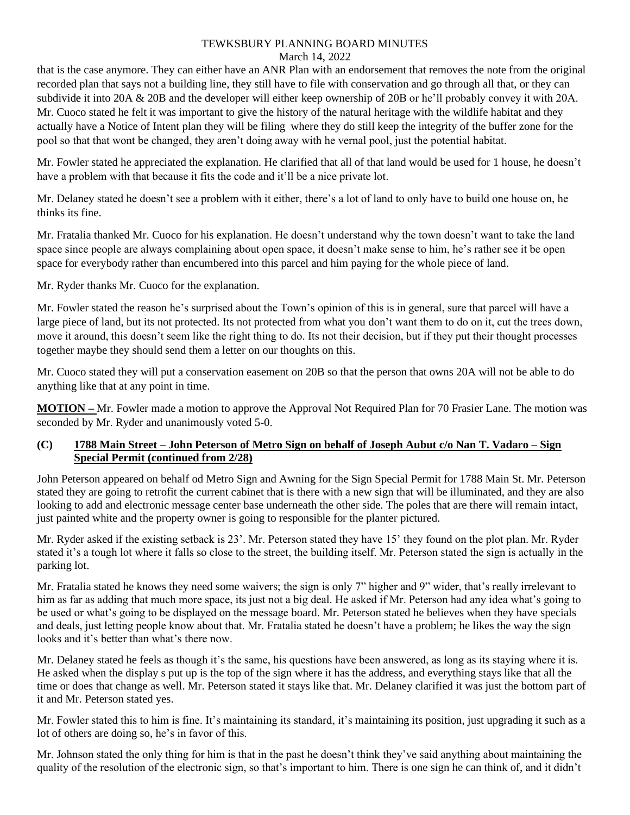that is the case anymore. They can either have an ANR Plan with an endorsement that removes the note from the original recorded plan that says not a building line, they still have to file with conservation and go through all that, or they can subdivide it into 20A & 20B and the developer will either keep ownership of 20B or he'll probably convey it with 20A. Mr. Cuoco stated he felt it was important to give the history of the natural heritage with the wildlife habitat and they actually have a Notice of Intent plan they will be filing where they do still keep the integrity of the buffer zone for the pool so that that wont be changed, they aren't doing away with he vernal pool, just the potential habitat.

Mr. Fowler stated he appreciated the explanation. He clarified that all of that land would be used for 1 house, he doesn't have a problem with that because it fits the code and it'll be a nice private lot.

Mr. Delaney stated he doesn't see a problem with it either, there's a lot of land to only have to build one house on, he thinks its fine.

Mr. Fratalia thanked Mr. Cuoco for his explanation. He doesn't understand why the town doesn't want to take the land space since people are always complaining about open space, it doesn't make sense to him, he's rather see it be open space for everybody rather than encumbered into this parcel and him paying for the whole piece of land.

Mr. Ryder thanks Mr. Cuoco for the explanation.

Mr. Fowler stated the reason he's surprised about the Town's opinion of this is in general, sure that parcel will have a large piece of land, but its not protected. Its not protected from what you don't want them to do on it, cut the trees down, move it around, this doesn't seem like the right thing to do. Its not their decision, but if they put their thought processes together maybe they should send them a letter on our thoughts on this.

Mr. Cuoco stated they will put a conservation easement on 20B so that the person that owns 20A will not be able to do anything like that at any point in time.

**MOTION –** Mr. Fowler made a motion to approve the Approval Not Required Plan for 70 Frasier Lane. The motion was seconded by Mr. Ryder and unanimously voted 5-0.

## **(C) 1788 Main Street – John Peterson of Metro Sign on behalf of Joseph Aubut c/o Nan T. Vadaro – Sign Special Permit (continued from 2/28)**

John Peterson appeared on behalf od Metro Sign and Awning for the Sign Special Permit for 1788 Main St. Mr. Peterson stated they are going to retrofit the current cabinet that is there with a new sign that will be illuminated, and they are also looking to add and electronic message center base underneath the other side. The poles that are there will remain intact, just painted white and the property owner is going to responsible for the planter pictured.

Mr. Ryder asked if the existing setback is 23'. Mr. Peterson stated they have 15' they found on the plot plan. Mr. Ryder stated it's a tough lot where it falls so close to the street, the building itself. Mr. Peterson stated the sign is actually in the parking lot.

Mr. Fratalia stated he knows they need some waivers; the sign is only 7" higher and 9" wider, that's really irrelevant to him as far as adding that much more space, its just not a big deal. He asked if Mr. Peterson had any idea what's going to be used or what's going to be displayed on the message board. Mr. Peterson stated he believes when they have specials and deals, just letting people know about that. Mr. Fratalia stated he doesn't have a problem; he likes the way the sign looks and it's better than what's there now.

Mr. Delaney stated he feels as though it's the same, his questions have been answered, as long as its staying where it is. He asked when the display s put up is the top of the sign where it has the address, and everything stays like that all the time or does that change as well. Mr. Peterson stated it stays like that. Mr. Delaney clarified it was just the bottom part of it and Mr. Peterson stated yes.

Mr. Fowler stated this to him is fine. It's maintaining its standard, it's maintaining its position, just upgrading it such as a lot of others are doing so, he's in favor of this.

Mr. Johnson stated the only thing for him is that in the past he doesn't think they've said anything about maintaining the quality of the resolution of the electronic sign, so that's important to him. There is one sign he can think of, and it didn't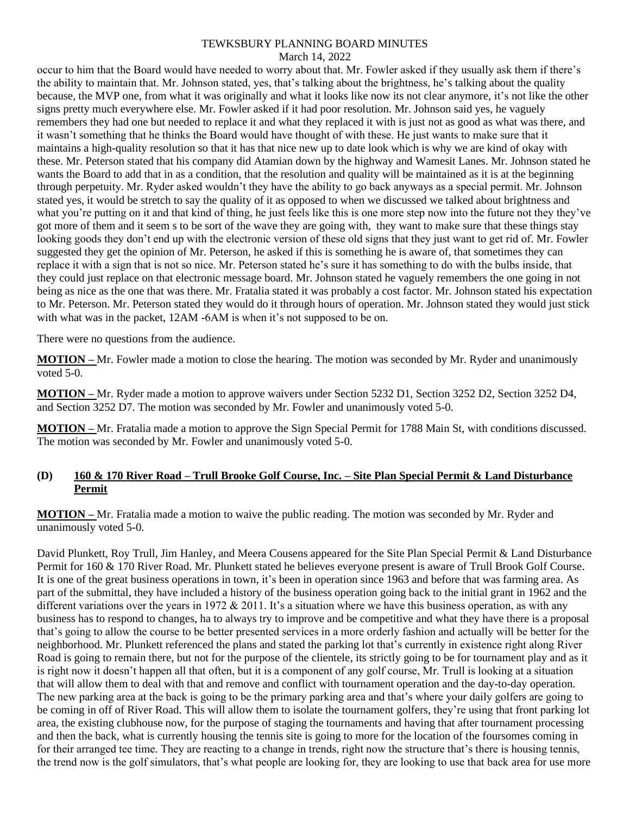occur to him that the Board would have needed to worry about that. Mr. Fowler asked if they usually ask them if there's the ability to maintain that. Mr. Johnson stated, yes, that's talking about the brightness, he's talking about the quality because, the MVP one, from what it was originally and what it looks like now its not clear anymore, it's not like the other signs pretty much everywhere else. Mr. Fowler asked if it had poor resolution. Mr. Johnson said yes, he vaguely remembers they had one but needed to replace it and what they replaced it with is just not as good as what was there, and it wasn't something that he thinks the Board would have thought of with these. He just wants to make sure that it maintains a high-quality resolution so that it has that nice new up to date look which is why we are kind of okay with these. Mr. Peterson stated that his company did Atamian down by the highway and Wamesit Lanes. Mr. Johnson stated he wants the Board to add that in as a condition, that the resolution and quality will be maintained as it is at the beginning through perpetuity. Mr. Ryder asked wouldn't they have the ability to go back anyways as a special permit. Mr. Johnson stated yes, it would be stretch to say the quality of it as opposed to when we discussed we talked about brightness and what you're putting on it and that kind of thing, he just feels like this is one more step now into the future not they they've got more of them and it seem s to be sort of the wave they are going with, they want to make sure that these things stay looking goods they don't end up with the electronic version of these old signs that they just want to get rid of. Mr. Fowler suggested they get the opinion of Mr. Peterson, he asked if this is something he is aware of, that sometimes they can replace it with a sign that is not so nice. Mr. Peterson stated he's sure it has something to do with the bulbs inside, that they could just replace on that electronic message board. Mr. Johnson stated he vaguely remembers the one going in not being as nice as the one that was there. Mr. Fratalia stated it was probably a cost factor. Mr. Johnson stated his expectation to Mr. Peterson. Mr. Peterson stated they would do it through hours of operation. Mr. Johnson stated they would just stick with what was in the packet,  $12AM -6AM$  is when it's not supposed to be on.

There were no questions from the audience.

**MOTION –** Mr. Fowler made a motion to close the hearing. The motion was seconded by Mr. Ryder and unanimously voted 5-0.

**MOTION –** Mr. Ryder made a motion to approve waivers under Section 5232 D1, Section 3252 D2, Section 3252 D4, and Section 3252 D7. The motion was seconded by Mr. Fowler and unanimously voted 5-0.

**MOTION –** Mr. Fratalia made a motion to approve the Sign Special Permit for 1788 Main St, with conditions discussed. The motion was seconded by Mr. Fowler and unanimously voted 5-0.

### **(D) 160 & 170 River Road – Trull Brooke Golf Course, Inc. – Site Plan Special Permit & Land Disturbance Permit**

**MOTION –** Mr. Fratalia made a motion to waive the public reading. The motion was seconded by Mr. Ryder and unanimously voted 5-0.

David Plunkett, Roy Trull, Jim Hanley, and Meera Cousens appeared for the Site Plan Special Permit & Land Disturbance Permit for 160 & 170 River Road. Mr. Plunkett stated he believes everyone present is aware of Trull Brook Golf Course. It is one of the great business operations in town, it's been in operation since 1963 and before that was farming area. As part of the submittal, they have included a history of the business operation going back to the initial grant in 1962 and the different variations over the years in 1972  $& 2011$ . It's a situation where we have this business operation, as with any business has to respond to changes, ha to always try to improve and be competitive and what they have there is a proposal that's going to allow the course to be better presented services in a more orderly fashion and actually will be better for the neighborhood. Mr. Plunkett referenced the plans and stated the parking lot that's currently in existence right along River Road is going to remain there, but not for the purpose of the clientele, its strictly going to be for tournament play and as it is right now it doesn't happen all that often, but it is a component of any golf course, Mr. Trull is looking at a situation that will allow them to deal with that and remove and conflict with tournament operation and the day-to-day operation. The new parking area at the back is going to be the primary parking area and that's where your daily golfers are going to be coming in off of River Road. This will allow them to isolate the tournament golfers, they're using that front parking lot area, the existing clubhouse now, for the purpose of staging the tournaments and having that after tournament processing and then the back, what is currently housing the tennis site is going to more for the location of the foursomes coming in for their arranged tee time. They are reacting to a change in trends, right now the structure that's there is housing tennis, the trend now is the golf simulators, that's what people are looking for, they are looking to use that back area for use more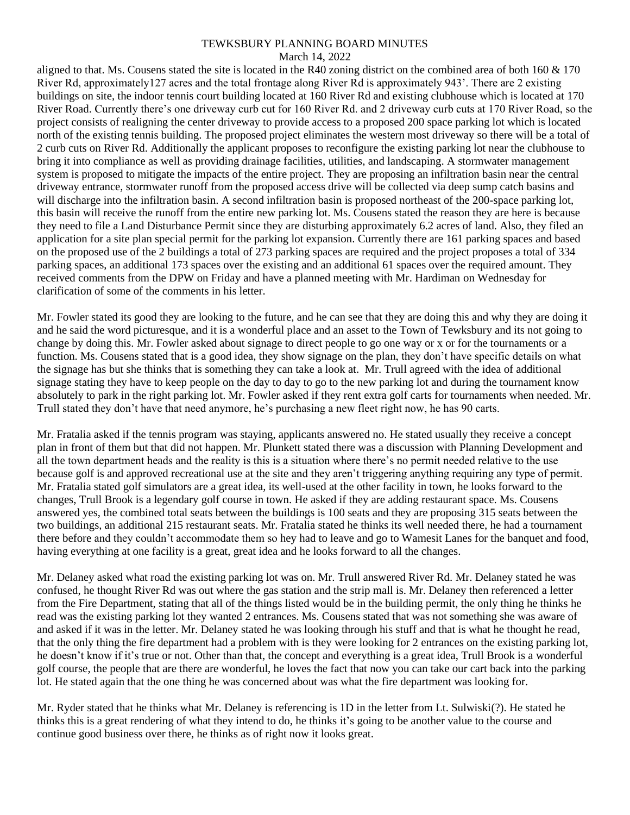aligned to that. Ms. Cousens stated the site is located in the R40 zoning district on the combined area of both  $160 \& 170$ River Rd, approximately127 acres and the total frontage along River Rd is approximately 943'. There are 2 existing buildings on site, the indoor tennis court building located at 160 River Rd and existing clubhouse which is located at 170 River Road. Currently there's one driveway curb cut for 160 River Rd. and 2 driveway curb cuts at 170 River Road, so the project consists of realigning the center driveway to provide access to a proposed 200 space parking lot which is located north of the existing tennis building. The proposed project eliminates the western most driveway so there will be a total of 2 curb cuts on River Rd. Additionally the applicant proposes to reconfigure the existing parking lot near the clubhouse to bring it into compliance as well as providing drainage facilities, utilities, and landscaping. A stormwater management system is proposed to mitigate the impacts of the entire project. They are proposing an infiltration basin near the central driveway entrance, stormwater runoff from the proposed access drive will be collected via deep sump catch basins and will discharge into the infiltration basin. A second infiltration basin is proposed northeast of the 200-space parking lot, this basin will receive the runoff from the entire new parking lot. Ms. Cousens stated the reason they are here is because they need to file a Land Disturbance Permit since they are disturbing approximately 6.2 acres of land. Also, they filed an application for a site plan special permit for the parking lot expansion. Currently there are 161 parking spaces and based on the proposed use of the 2 buildings a total of 273 parking spaces are required and the project proposes a total of 334 parking spaces, an additional 173 spaces over the existing and an additional 61 spaces over the required amount. They received comments from the DPW on Friday and have a planned meeting with Mr. Hardiman on Wednesday for clarification of some of the comments in his letter.

Mr. Fowler stated its good they are looking to the future, and he can see that they are doing this and why they are doing it and he said the word picturesque, and it is a wonderful place and an asset to the Town of Tewksbury and its not going to change by doing this. Mr. Fowler asked about signage to direct people to go one way or x or for the tournaments or a function. Ms. Cousens stated that is a good idea, they show signage on the plan, they don't have specific details on what the signage has but she thinks that is something they can take a look at. Mr. Trull agreed with the idea of additional signage stating they have to keep people on the day to day to go to the new parking lot and during the tournament know absolutely to park in the right parking lot. Mr. Fowler asked if they rent extra golf carts for tournaments when needed. Mr. Trull stated they don't have that need anymore, he's purchasing a new fleet right now, he has 90 carts.

Mr. Fratalia asked if the tennis program was staying, applicants answered no. He stated usually they receive a concept plan in front of them but that did not happen. Mr. Plunkett stated there was a discussion with Planning Development and all the town department heads and the reality is this is a situation where there's no permit needed relative to the use because golf is and approved recreational use at the site and they aren't triggering anything requiring any type of permit. Mr. Fratalia stated golf simulators are a great idea, its well-used at the other facility in town, he looks forward to the changes, Trull Brook is a legendary golf course in town. He asked if they are adding restaurant space. Ms. Cousens answered yes, the combined total seats between the buildings is 100 seats and they are proposing 315 seats between the two buildings, an additional 215 restaurant seats. Mr. Fratalia stated he thinks its well needed there, he had a tournament there before and they couldn't accommodate them so hey had to leave and go to Wamesit Lanes for the banquet and food, having everything at one facility is a great, great idea and he looks forward to all the changes.

Mr. Delaney asked what road the existing parking lot was on. Mr. Trull answered River Rd. Mr. Delaney stated he was confused, he thought River Rd was out where the gas station and the strip mall is. Mr. Delaney then referenced a letter from the Fire Department, stating that all of the things listed would be in the building permit, the only thing he thinks he read was the existing parking lot they wanted 2 entrances. Ms. Cousens stated that was not something she was aware of and asked if it was in the letter. Mr. Delaney stated he was looking through his stuff and that is what he thought he read, that the only thing the fire department had a problem with is they were looking for 2 entrances on the existing parking lot, he doesn't know if it's true or not. Other than that, the concept and everything is a great idea, Trull Brook is a wonderful golf course, the people that are there are wonderful, he loves the fact that now you can take our cart back into the parking lot. He stated again that the one thing he was concerned about was what the fire department was looking for.

Mr. Ryder stated that he thinks what Mr. Delaney is referencing is 1D in the letter from Lt. Sulwiski(?). He stated he thinks this is a great rendering of what they intend to do, he thinks it's going to be another value to the course and continue good business over there, he thinks as of right now it looks great.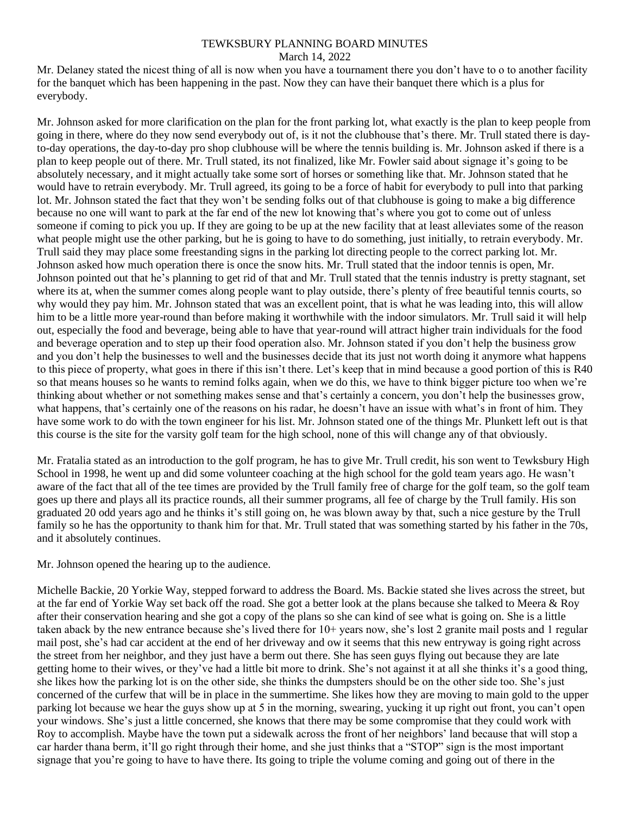Mr. Delaney stated the nicest thing of all is now when you have a tournament there you don't have to o to another facility for the banquet which has been happening in the past. Now they can have their banquet there which is a plus for everybody.

Mr. Johnson asked for more clarification on the plan for the front parking lot, what exactly is the plan to keep people from going in there, where do they now send everybody out of, is it not the clubhouse that's there. Mr. Trull stated there is dayto-day operations, the day-to-day pro shop clubhouse will be where the tennis building is. Mr. Johnson asked if there is a plan to keep people out of there. Mr. Trull stated, its not finalized, like Mr. Fowler said about signage it's going to be absolutely necessary, and it might actually take some sort of horses or something like that. Mr. Johnson stated that he would have to retrain everybody. Mr. Trull agreed, its going to be a force of habit for everybody to pull into that parking lot. Mr. Johnson stated the fact that they won't be sending folks out of that clubhouse is going to make a big difference because no one will want to park at the far end of the new lot knowing that's where you got to come out of unless someone if coming to pick you up. If they are going to be up at the new facility that at least alleviates some of the reason what people might use the other parking, but he is going to have to do something, just initially, to retrain everybody. Mr. Trull said they may place some freestanding signs in the parking lot directing people to the correct parking lot. Mr. Johnson asked how much operation there is once the snow hits. Mr. Trull stated that the indoor tennis is open, Mr. Johnson pointed out that he's planning to get rid of that and Mr. Trull stated that the tennis industry is pretty stagnant, set where its at, when the summer comes along people want to play outside, there's plenty of free beautiful tennis courts, so why would they pay him. Mr. Johnson stated that was an excellent point, that is what he was leading into, this will allow him to be a little more year-round than before making it worthwhile with the indoor simulators. Mr. Trull said it will help out, especially the food and beverage, being able to have that year-round will attract higher train individuals for the food and beverage operation and to step up their food operation also. Mr. Johnson stated if you don't help the business grow and you don't help the businesses to well and the businesses decide that its just not worth doing it anymore what happens to this piece of property, what goes in there if this isn't there. Let's keep that in mind because a good portion of this is R40 so that means houses so he wants to remind folks again, when we do this, we have to think bigger picture too when we're thinking about whether or not something makes sense and that's certainly a concern, you don't help the businesses grow, what happens, that's certainly one of the reasons on his radar, he doesn't have an issue with what's in front of him. They have some work to do with the town engineer for his list. Mr. Johnson stated one of the things Mr. Plunkett left out is that this course is the site for the varsity golf team for the high school, none of this will change any of that obviously.

Mr. Fratalia stated as an introduction to the golf program, he has to give Mr. Trull credit, his son went to Tewksbury High School in 1998, he went up and did some volunteer coaching at the high school for the gold team years ago. He wasn't aware of the fact that all of the tee times are provided by the Trull family free of charge for the golf team, so the golf team goes up there and plays all its practice rounds, all their summer programs, all fee of charge by the Trull family. His son graduated 20 odd years ago and he thinks it's still going on, he was blown away by that, such a nice gesture by the Trull family so he has the opportunity to thank him for that. Mr. Trull stated that was something started by his father in the 70s, and it absolutely continues.

Mr. Johnson opened the hearing up to the audience.

Michelle Backie, 20 Yorkie Way, stepped forward to address the Board. Ms. Backie stated she lives across the street, but at the far end of Yorkie Way set back off the road. She got a better look at the plans because she talked to Meera & Roy after their conservation hearing and she got a copy of the plans so she can kind of see what is going on. She is a little taken aback by the new entrance because she's lived there for 10+ years now, she's lost 2 granite mail posts and 1 regular mail post, she's had car accident at the end of her driveway and ow it seems that this new entryway is going right across the street from her neighbor, and they just have a berm out there. She has seen guys flying out because they are late getting home to their wives, or they've had a little bit more to drink. She's not against it at all she thinks it's a good thing, she likes how the parking lot is on the other side, she thinks the dumpsters should be on the other side too. She's just concerned of the curfew that will be in place in the summertime. She likes how they are moving to main gold to the upper parking lot because we hear the guys show up at 5 in the morning, swearing, yucking it up right out front, you can't open your windows. She's just a little concerned, she knows that there may be some compromise that they could work with Roy to accomplish. Maybe have the town put a sidewalk across the front of her neighbors' land because that will stop a car harder thana berm, it'll go right through their home, and she just thinks that a "STOP" sign is the most important signage that you're going to have to have there. Its going to triple the volume coming and going out of there in the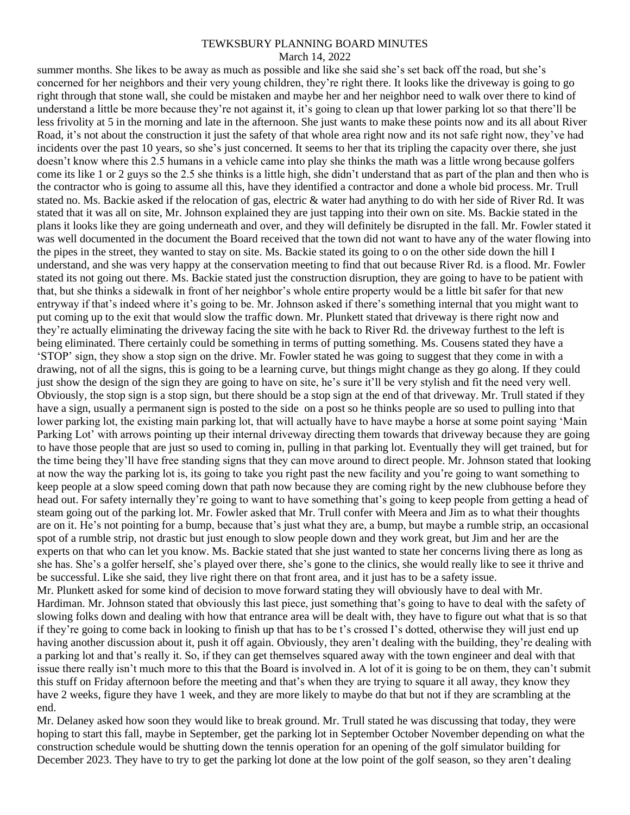summer months. She likes to be away as much as possible and like she said she's set back off the road, but she's concerned for her neighbors and their very young children, they're right there. It looks like the driveway is going to go right through that stone wall, she could be mistaken and maybe her and her neighbor need to walk over there to kind of understand a little be more because they're not against it, it's going to clean up that lower parking lot so that there'll be less frivolity at 5 in the morning and late in the afternoon. She just wants to make these points now and its all about River Road, it's not about the construction it just the safety of that whole area right now and its not safe right now, they've had incidents over the past 10 years, so she's just concerned. It seems to her that its tripling the capacity over there, she just doesn't know where this 2.5 humans in a vehicle came into play she thinks the math was a little wrong because golfers come its like 1 or 2 guys so the 2.5 she thinks is a little high, she didn't understand that as part of the plan and then who is the contractor who is going to assume all this, have they identified a contractor and done a whole bid process. Mr. Trull stated no. Ms. Backie asked if the relocation of gas, electric & water had anything to do with her side of River Rd. It was stated that it was all on site, Mr. Johnson explained they are just tapping into their own on site. Ms. Backie stated in the plans it looks like they are going underneath and over, and they will definitely be disrupted in the fall. Mr. Fowler stated it was well documented in the document the Board received that the town did not want to have any of the water flowing into the pipes in the street, they wanted to stay on site. Ms. Backie stated its going to o on the other side down the hill I understand, and she was very happy at the conservation meeting to find that out because River Rd. is a flood. Mr. Fowler stated its not going out there. Ms. Backie stated just the construction disruption, they are going to have to be patient with that, but she thinks a sidewalk in front of her neighbor's whole entire property would be a little bit safer for that new entryway if that's indeed where it's going to be. Mr. Johnson asked if there's something internal that you might want to put coming up to the exit that would slow the traffic down. Mr. Plunkett stated that driveway is there right now and they're actually eliminating the driveway facing the site with he back to River Rd. the driveway furthest to the left is being eliminated. There certainly could be something in terms of putting something. Ms. Cousens stated they have a 'STOP' sign, they show a stop sign on the drive. Mr. Fowler stated he was going to suggest that they come in with a drawing, not of all the signs, this is going to be a learning curve, but things might change as they go along. If they could just show the design of the sign they are going to have on site, he's sure it'll be very stylish and fit the need very well. Obviously, the stop sign is a stop sign, but there should be a stop sign at the end of that driveway. Mr. Trull stated if they have a sign, usually a permanent sign is posted to the side on a post so he thinks people are so used to pulling into that lower parking lot, the existing main parking lot, that will actually have to have maybe a horse at some point saying 'Main Parking Lot' with arrows pointing up their internal driveway directing them towards that driveway because they are going to have those people that are just so used to coming in, pulling in that parking lot. Eventually they will get trained, but for the time being they'll have free standing signs that they can move around to direct people. Mr. Johnson stated that looking at now the way the parking lot is, its going to take you right past the new facility and you're going to want something to keep people at a slow speed coming down that path now because they are coming right by the new clubhouse before they head out. For safety internally they're going to want to have something that's going to keep people from getting a head of steam going out of the parking lot. Mr. Fowler asked that Mr. Trull confer with Meera and Jim as to what their thoughts are on it. He's not pointing for a bump, because that's just what they are, a bump, but maybe a rumble strip, an occasional spot of a rumble strip, not drastic but just enough to slow people down and they work great, but Jim and her are the experts on that who can let you know. Ms. Backie stated that she just wanted to state her concerns living there as long as she has. She's a golfer herself, she's played over there, she's gone to the clinics, she would really like to see it thrive and be successful. Like she said, they live right there on that front area, and it just has to be a safety issue. Mr. Plunkett asked for some kind of decision to move forward stating they will obviously have to deal with Mr. Hardiman. Mr. Johnson stated that obviously this last piece, just something that's going to have to deal with the safety of slowing folks down and dealing with how that entrance area will be dealt with, they have to figure out what that is so that if they're going to come back in looking to finish up that has to be t's crossed I's dotted, otherwise they will just end up having another discussion about it, push it off again. Obviously, they aren't dealing with the building, they're dealing with a parking lot and that's really it. So, if they can get themselves squared away with the town engineer and deal with that issue there really isn't much more to this that the Board is involved in. A lot of it is going to be on them, they can't submit this stuff on Friday afternoon before the meeting and that's when they are trying to square it all away, they know they have 2 weeks, figure they have 1 week, and they are more likely to maybe do that but not if they are scrambling at the end.

Mr. Delaney asked how soon they would like to break ground. Mr. Trull stated he was discussing that today, they were hoping to start this fall, maybe in September, get the parking lot in September October November depending on what the construction schedule would be shutting down the tennis operation for an opening of the golf simulator building for December 2023. They have to try to get the parking lot done at the low point of the golf season, so they aren't dealing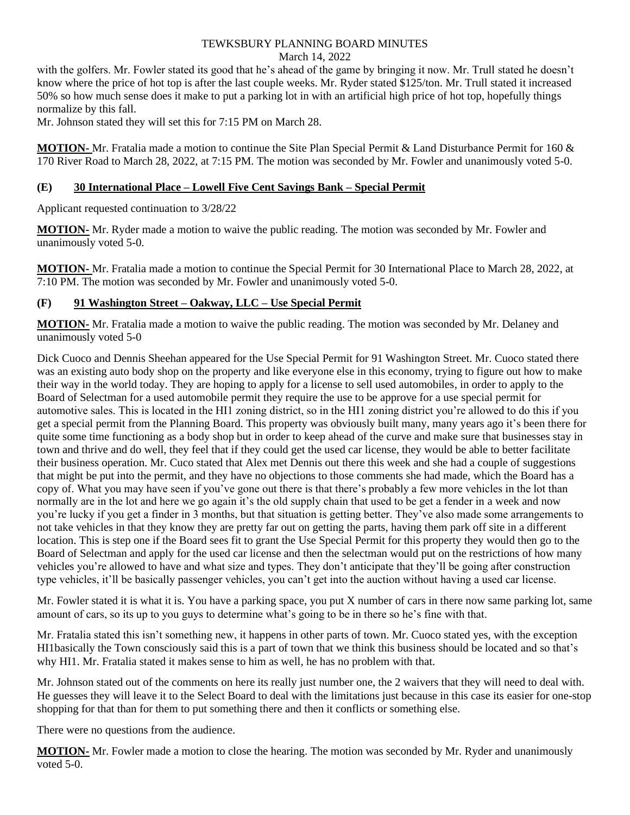with the golfers. Mr. Fowler stated its good that he's ahead of the game by bringing it now. Mr. Trull stated he doesn't know where the price of hot top is after the last couple weeks. Mr. Ryder stated \$125/ton. Mr. Trull stated it increased 50% so how much sense does it make to put a parking lot in with an artificial high price of hot top, hopefully things normalize by this fall.

Mr. Johnson stated they will set this for 7:15 PM on March 28.

**MOTION-** Mr. Fratalia made a motion to continue the Site Plan Special Permit & Land Disturbance Permit for 160 & 170 River Road to March 28, 2022, at 7:15 PM. The motion was seconded by Mr. Fowler and unanimously voted 5-0.

## **(E) 30 International Place – Lowell Five Cent Savings Bank – Special Permit**

Applicant requested continuation to 3/28/22

**MOTION-** Mr. Ryder made a motion to waive the public reading. The motion was seconded by Mr. Fowler and unanimously voted 5-0.

**MOTION-** Mr. Fratalia made a motion to continue the Special Permit for 30 International Place to March 28, 2022, at 7:10 PM. The motion was seconded by Mr. Fowler and unanimously voted 5-0.

## **(F) 91 Washington Street – Oakway, LLC – Use Special Permit**

**MOTION-** Mr. Fratalia made a motion to waive the public reading. The motion was seconded by Mr. Delaney and unanimously voted 5-0

Dick Cuoco and Dennis Sheehan appeared for the Use Special Permit for 91 Washington Street. Mr. Cuoco stated there was an existing auto body shop on the property and like everyone else in this economy, trying to figure out how to make their way in the world today. They are hoping to apply for a license to sell used automobiles, in order to apply to the Board of Selectman for a used automobile permit they require the use to be approve for a use special permit for automotive sales. This is located in the HI1 zoning district, so in the HI1 zoning district you're allowed to do this if you get a special permit from the Planning Board. This property was obviously built many, many years ago it's been there for quite some time functioning as a body shop but in order to keep ahead of the curve and make sure that businesses stay in town and thrive and do well, they feel that if they could get the used car license, they would be able to better facilitate their business operation. Mr. Cuco stated that Alex met Dennis out there this week and she had a couple of suggestions that might be put into the permit, and they have no objections to those comments she had made, which the Board has a copy of. What you may have seen if you've gone out there is that there's probably a few more vehicles in the lot than normally are in the lot and here we go again it's the old supply chain that used to be get a fender in a week and now you're lucky if you get a finder in 3 months, but that situation is getting better. They've also made some arrangements to not take vehicles in that they know they are pretty far out on getting the parts, having them park off site in a different location. This is step one if the Board sees fit to grant the Use Special Permit for this property they would then go to the Board of Selectman and apply for the used car license and then the selectman would put on the restrictions of how many vehicles you're allowed to have and what size and types. They don't anticipate that they'll be going after construction type vehicles, it'll be basically passenger vehicles, you can't get into the auction without having a used car license.

Mr. Fowler stated it is what it is. You have a parking space, you put X number of cars in there now same parking lot, same amount of cars, so its up to you guys to determine what's going to be in there so he's fine with that.

Mr. Fratalia stated this isn't something new, it happens in other parts of town. Mr. Cuoco stated yes, with the exception HI1basically the Town consciously said this is a part of town that we think this business should be located and so that's why HI1. Mr. Fratalia stated it makes sense to him as well, he has no problem with that.

Mr. Johnson stated out of the comments on here its really just number one, the 2 waivers that they will need to deal with. He guesses they will leave it to the Select Board to deal with the limitations just because in this case its easier for one-stop shopping for that than for them to put something there and then it conflicts or something else.

There were no questions from the audience.

**MOTION-** Mr. Fowler made a motion to close the hearing. The motion was seconded by Mr. Ryder and unanimously voted 5-0.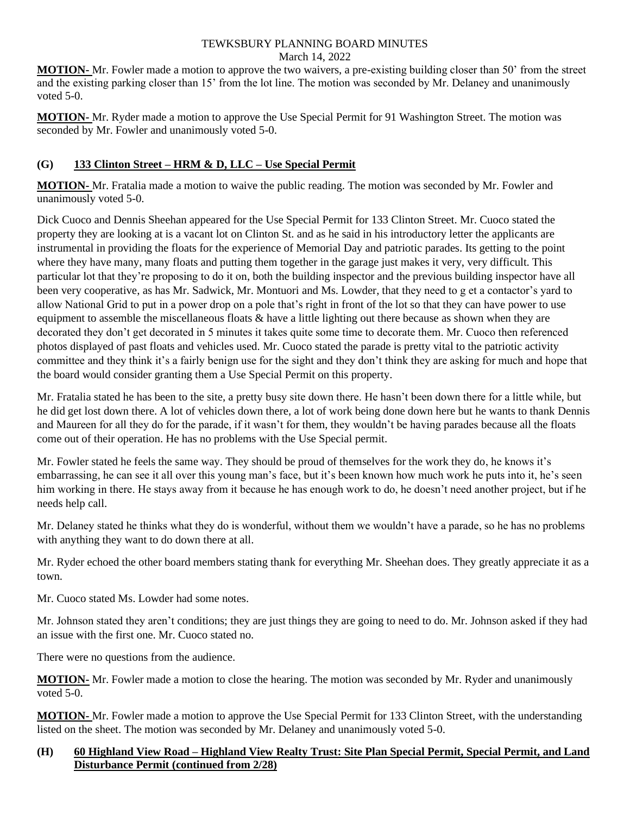**MOTION-** Mr. Fowler made a motion to approve the two waivers, a pre-existing building closer than 50' from the street and the existing parking closer than 15' from the lot line. The motion was seconded by Mr. Delaney and unanimously voted 5-0.

**MOTION-** Mr. Ryder made a motion to approve the Use Special Permit for 91 Washington Street. The motion was seconded by Mr. Fowler and unanimously voted 5-0.

# **(G) 133 Clinton Street – HRM & D, LLC – Use Special Permit**

**MOTION-** Mr. Fratalia made a motion to waive the public reading. The motion was seconded by Mr. Fowler and unanimously voted 5-0.

Dick Cuoco and Dennis Sheehan appeared for the Use Special Permit for 133 Clinton Street. Mr. Cuoco stated the property they are looking at is a vacant lot on Clinton St. and as he said in his introductory letter the applicants are instrumental in providing the floats for the experience of Memorial Day and patriotic parades. Its getting to the point where they have many, many floats and putting them together in the garage just makes it very, very difficult. This particular lot that they're proposing to do it on, both the building inspector and the previous building inspector have all been very cooperative, as has Mr. Sadwick, Mr. Montuori and Ms. Lowder, that they need to g et a contactor's yard to allow National Grid to put in a power drop on a pole that's right in front of the lot so that they can have power to use equipment to assemble the miscellaneous floats  $\&$  have a little lighting out there because as shown when they are decorated they don't get decorated in 5 minutes it takes quite some time to decorate them. Mr. Cuoco then referenced photos displayed of past floats and vehicles used. Mr. Cuoco stated the parade is pretty vital to the patriotic activity committee and they think it's a fairly benign use for the sight and they don't think they are asking for much and hope that the board would consider granting them a Use Special Permit on this property.

Mr. Fratalia stated he has been to the site, a pretty busy site down there. He hasn't been down there for a little while, but he did get lost down there. A lot of vehicles down there, a lot of work being done down here but he wants to thank Dennis and Maureen for all they do for the parade, if it wasn't for them, they wouldn't be having parades because all the floats come out of their operation. He has no problems with the Use Special permit.

Mr. Fowler stated he feels the same way. They should be proud of themselves for the work they do, he knows it's embarrassing, he can see it all over this young man's face, but it's been known how much work he puts into it, he's seen him working in there. He stays away from it because he has enough work to do, he doesn't need another project, but if he needs help call.

Mr. Delaney stated he thinks what they do is wonderful, without them we wouldn't have a parade, so he has no problems with anything they want to do down there at all.

Mr. Ryder echoed the other board members stating thank for everything Mr. Sheehan does. They greatly appreciate it as a town.

Mr. Cuoco stated Ms. Lowder had some notes.

Mr. Johnson stated they aren't conditions; they are just things they are going to need to do. Mr. Johnson asked if they had an issue with the first one. Mr. Cuoco stated no.

There were no questions from the audience.

**MOTION-** Mr. Fowler made a motion to close the hearing. The motion was seconded by Mr. Ryder and unanimously voted 5-0.

**MOTION-** Mr. Fowler made a motion to approve the Use Special Permit for 133 Clinton Street, with the understanding listed on the sheet. The motion was seconded by Mr. Delaney and unanimously voted 5-0.

## **(H) 60 Highland View Road – Highland View Realty Trust: Site Plan Special Permit, Special Permit, and Land Disturbance Permit (continued from 2/28)**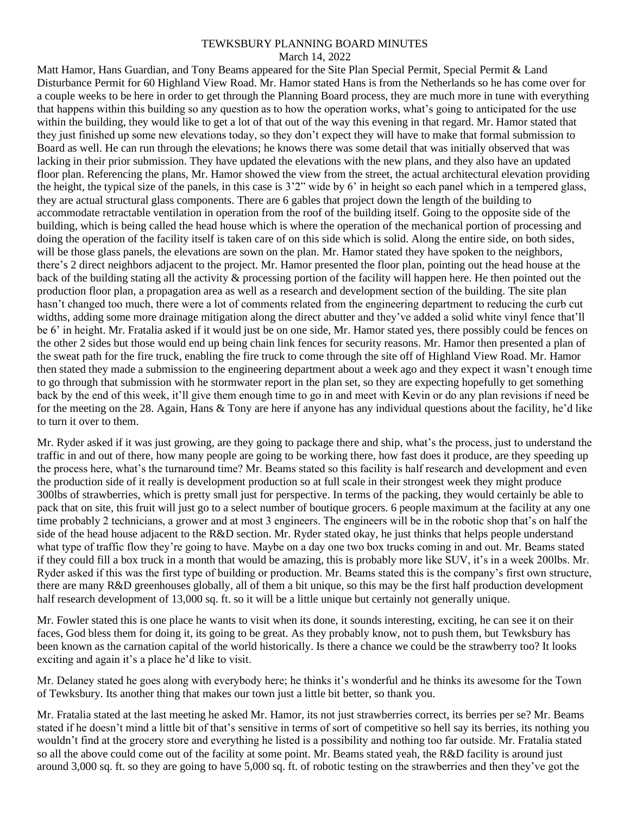# TEWKSBURY PLANNING BOARD MINUTES

March 14, 2022

Matt Hamor, Hans Guardian, and Tony Beams appeared for the Site Plan Special Permit, Special Permit & Land Disturbance Permit for 60 Highland View Road. Mr. Hamor stated Hans is from the Netherlands so he has come over for a couple weeks to be here in order to get through the Planning Board process, they are much more in tune with everything that happens within this building so any question as to how the operation works, what's going to anticipated for the use within the building, they would like to get a lot of that out of the way this evening in that regard. Mr. Hamor stated that they just finished up some new elevations today, so they don't expect they will have to make that formal submission to Board as well. He can run through the elevations; he knows there was some detail that was initially observed that was lacking in their prior submission. They have updated the elevations with the new plans, and they also have an updated floor plan. Referencing the plans, Mr. Hamor showed the view from the street, the actual architectural elevation providing the height, the typical size of the panels, in this case is 3'2" wide by 6' in height so each panel which in a tempered glass, they are actual structural glass components. There are 6 gables that project down the length of the building to accommodate retractable ventilation in operation from the roof of the building itself. Going to the opposite side of the building, which is being called the head house which is where the operation of the mechanical portion of processing and doing the operation of the facility itself is taken care of on this side which is solid. Along the entire side, on both sides, will be those glass panels, the elevations are sown on the plan. Mr. Hamor stated they have spoken to the neighbors, there's 2 direct neighbors adjacent to the project. Mr. Hamor presented the floor plan, pointing out the head house at the back of the building stating all the activity & processing portion of the facility will happen here. He then pointed out the production floor plan, a propagation area as well as a research and development section of the building. The site plan hasn't changed too much, there were a lot of comments related from the engineering department to reducing the curb cut widths, adding some more drainage mitigation along the direct abutter and they've added a solid white vinyl fence that'll be 6' in height. Mr. Fratalia asked if it would just be on one side, Mr. Hamor stated yes, there possibly could be fences on the other 2 sides but those would end up being chain link fences for security reasons. Mr. Hamor then presented a plan of the sweat path for the fire truck, enabling the fire truck to come through the site off of Highland View Road. Mr. Hamor then stated they made a submission to the engineering department about a week ago and they expect it wasn't enough time to go through that submission with he stormwater report in the plan set, so they are expecting hopefully to get something back by the end of this week, it'll give them enough time to go in and meet with Kevin or do any plan revisions if need be for the meeting on the 28. Again, Hans & Tony are here if anyone has any individual questions about the facility, he'd like to turn it over to them.

Mr. Ryder asked if it was just growing, are they going to package there and ship, what's the process, just to understand the traffic in and out of there, how many people are going to be working there, how fast does it produce, are they speeding up the process here, what's the turnaround time? Mr. Beams stated so this facility is half research and development and even the production side of it really is development production so at full scale in their strongest week they might produce 300lbs of strawberries, which is pretty small just for perspective. In terms of the packing, they would certainly be able to pack that on site, this fruit will just go to a select number of boutique grocers. 6 people maximum at the facility at any one time probably 2 technicians, a grower and at most 3 engineers. The engineers will be in the robotic shop that's on half the side of the head house adjacent to the R&D section. Mr. Ryder stated okay, he just thinks that helps people understand what type of traffic flow they're going to have. Maybe on a day one two box trucks coming in and out. Mr. Beams stated if they could fill a box truck in a month that would be amazing, this is probably more like SUV, it's in a week 200lbs. Mr. Ryder asked if this was the first type of building or production. Mr. Beams stated this is the company's first own structure, there are many R&D greenhouses globally, all of them a bit unique, so this may be the first half production development half research development of 13,000 sq. ft. so it will be a little unique but certainly not generally unique.

Mr. Fowler stated this is one place he wants to visit when its done, it sounds interesting, exciting, he can see it on their faces, God bless them for doing it, its going to be great. As they probably know, not to push them, but Tewksbury has been known as the carnation capital of the world historically. Is there a chance we could be the strawberry too? It looks exciting and again it's a place he'd like to visit.

Mr. Delaney stated he goes along with everybody here; he thinks it's wonderful and he thinks its awesome for the Town of Tewksbury. Its another thing that makes our town just a little bit better, so thank you.

Mr. Fratalia stated at the last meeting he asked Mr. Hamor, its not just strawberries correct, its berries per se? Mr. Beams stated if he doesn't mind a little bit of that's sensitive in terms of sort of competitive so hell say its berries, its nothing you wouldn't find at the grocery store and everything he listed is a possibility and nothing too far outside. Mr. Fratalia stated so all the above could come out of the facility at some point. Mr. Beams stated yeah, the R&D facility is around just around 3,000 sq. ft. so they are going to have 5,000 sq. ft. of robotic testing on the strawberries and then they've got the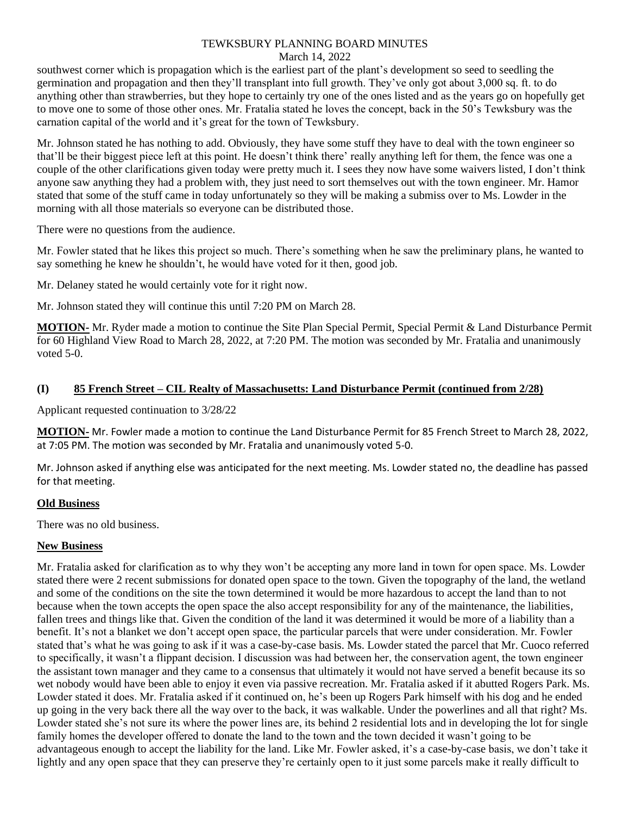southwest corner which is propagation which is the earliest part of the plant's development so seed to seedling the germination and propagation and then they'll transplant into full growth. They've only got about 3,000 sq. ft. to do anything other than strawberries, but they hope to certainly try one of the ones listed and as the years go on hopefully get to move one to some of those other ones. Mr. Fratalia stated he loves the concept, back in the 50's Tewksbury was the carnation capital of the world and it's great for the town of Tewksbury.

Mr. Johnson stated he has nothing to add. Obviously, they have some stuff they have to deal with the town engineer so that'll be their biggest piece left at this point. He doesn't think there' really anything left for them, the fence was one a couple of the other clarifications given today were pretty much it. I sees they now have some waivers listed, I don't think anyone saw anything they had a problem with, they just need to sort themselves out with the town engineer. Mr. Hamor stated that some of the stuff came in today unfortunately so they will be making a submiss over to Ms. Lowder in the morning with all those materials so everyone can be distributed those.

There were no questions from the audience.

Mr. Fowler stated that he likes this project so much. There's something when he saw the preliminary plans, he wanted to say something he knew he shouldn't, he would have voted for it then, good job.

Mr. Delaney stated he would certainly vote for it right now.

Mr. Johnson stated they will continue this until 7:20 PM on March 28.

**MOTION-** Mr. Ryder made a motion to continue the Site Plan Special Permit, Special Permit & Land Disturbance Permit for 60 Highland View Road to March 28, 2022, at 7:20 PM. The motion was seconded by Mr. Fratalia and unanimously voted 5-0.

### **(I) 85 French Street – CIL Realty of Massachusetts: Land Disturbance Permit (continued from 2/28)**

Applicant requested continuation to 3/28/22

**MOTION-** Mr. Fowler made a motion to continue the Land Disturbance Permit for 85 French Street to March 28, 2022, at 7:05 PM. The motion was seconded by Mr. Fratalia and unanimously voted 5-0.

Mr. Johnson asked if anything else was anticipated for the next meeting. Ms. Lowder stated no, the deadline has passed for that meeting.

### **Old Business**

There was no old business.

### **New Business**

Mr. Fratalia asked for clarification as to why they won't be accepting any more land in town for open space. Ms. Lowder stated there were 2 recent submissions for donated open space to the town. Given the topography of the land, the wetland and some of the conditions on the site the town determined it would be more hazardous to accept the land than to not because when the town accepts the open space the also accept responsibility for any of the maintenance, the liabilities, fallen trees and things like that. Given the condition of the land it was determined it would be more of a liability than a benefit. It's not a blanket we don't accept open space, the particular parcels that were under consideration. Mr. Fowler stated that's what he was going to ask if it was a case-by-case basis. Ms. Lowder stated the parcel that Mr. Cuoco referred to specifically, it wasn't a flippant decision. I discussion was had between her, the conservation agent, the town engineer the assistant town manager and they came to a consensus that ultimately it would not have served a benefit because its so wet nobody would have been able to enjoy it even via passive recreation. Mr. Fratalia asked if it abutted Rogers Park. Ms. Lowder stated it does. Mr. Fratalia asked if it continued on, he's been up Rogers Park himself with his dog and he ended up going in the very back there all the way over to the back, it was walkable. Under the powerlines and all that right? Ms. Lowder stated she's not sure its where the power lines are, its behind 2 residential lots and in developing the lot for single family homes the developer offered to donate the land to the town and the town decided it wasn't going to be advantageous enough to accept the liability for the land. Like Mr. Fowler asked, it's a case-by-case basis, we don't take it lightly and any open space that they can preserve they're certainly open to it just some parcels make it really difficult to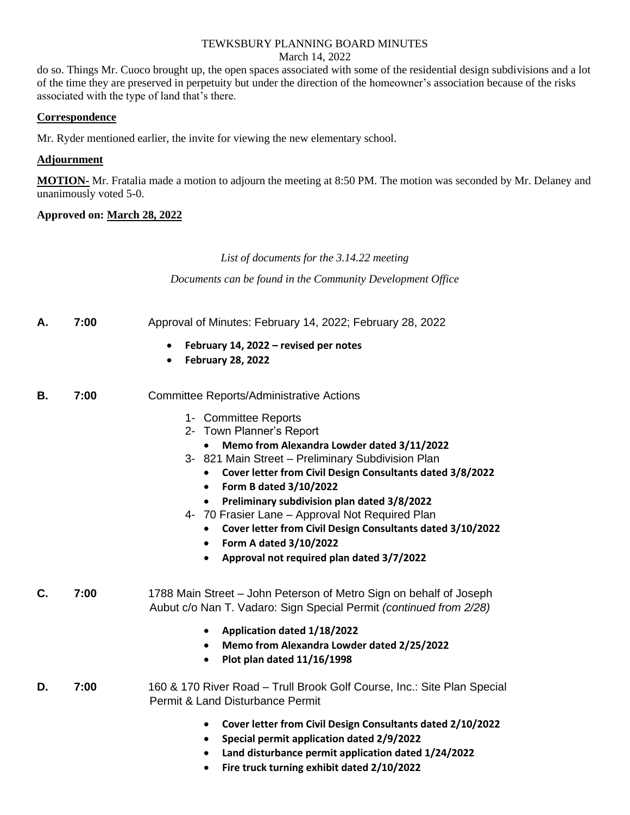do so. Things Mr. Cuoco brought up, the open spaces associated with some of the residential design subdivisions and a lot of the time they are preserved in perpetuity but under the direction of the homeowner's association because of the risks associated with the type of land that's there.

#### **Correspondence**

Mr. Ryder mentioned earlier, the invite for viewing the new elementary school.

### **Adjournment**

**MOTION-** Mr. Fratalia made a motion to adjourn the meeting at 8:50 PM. The motion was seconded by Mr. Delaney and unanimously voted 5-0.

### **Approved on: March 28, 2022**

### *List of documents for the 3.14.22 meeting*

*Documents can be found in the Community Development Office*

- **A. 7:00** Approval of Minutes: February 14, 2022; February 28, 2022
	- **February 14, 2022 – revised per notes**
	- **February 28, 2022**
- **B. 7:00** Committee Reports/Administrative Actions
	- 1- Committee Reports
	- 2- Town Planner's Report
		- **Memo from Alexandra Lowder dated 3/11/2022**
	- 3- 821 Main Street Preliminary Subdivision Plan
		- **Cover letter from Civil Design Consultants dated 3/8/2022**
		- **Form B dated 3/10/2022**
		- **Preliminary subdivision plan dated 3/8/2022**
	- 4- 70 Frasier Lane Approval Not Required Plan
		- **Cover letter from Civil Design Consultants dated 3/10/2022**
		- **Form A dated 3/10/2022**
		- **Approval not required plan dated 3/7/2022**

**C. 7:00** 1788 Main Street – John Peterson of Metro Sign on behalf of Joseph Aubut c/o Nan T. Vadaro: Sign Special Permit *(continued from 2/28)*

- **Application dated 1/18/2022**
- **Memo from Alexandra Lowder dated 2/25/2022**
- **Plot plan dated 11/16/1998**

## **D. 7:00** 160 & 170 River Road – Trull Brook Golf Course, Inc.: Site Plan Special Permit & Land Disturbance Permit

- **Cover letter from Civil Design Consultants dated 2/10/2022**
- **Special permit application dated 2/9/2022**
- **Land disturbance permit application dated 1/24/2022**
- **Fire truck turning exhibit dated 2/10/2022**